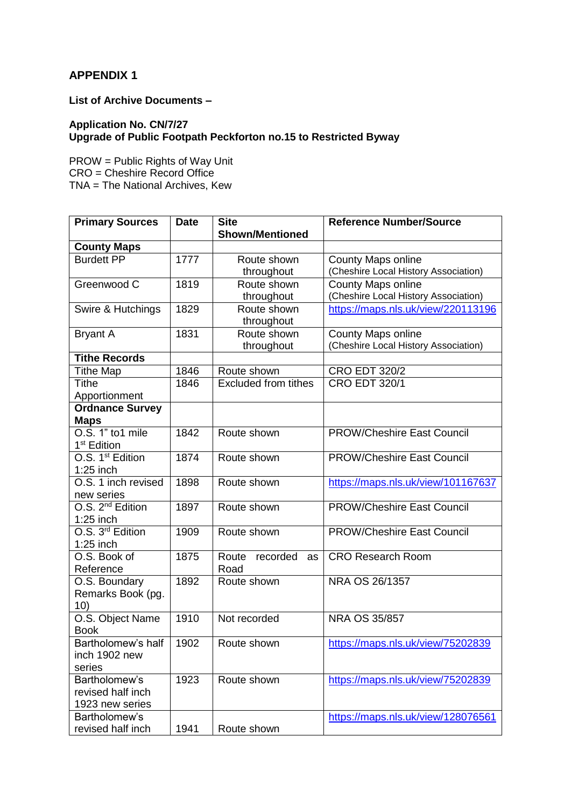## **APPENDIX 1**

**List of Archive Documents –**

## **Application No. CN/7/27 Upgrade of Public Footpath Peckforton no.15 to Restricted Byway**

PROW = Public Rights of Way Unit CRO = Cheshire Record Office TNA = The National Archives, Kew

| <b>Primary Sources</b>           | <b>Date</b> | <b>Site</b>                    | <b>Reference Number/Source</b>       |
|----------------------------------|-------------|--------------------------------|--------------------------------------|
|                                  |             | <b>Shown/Mentioned</b>         |                                      |
| <b>County Maps</b>               |             |                                |                                      |
| <b>Burdett PP</b>                | 1777        | Route shown                    | <b>County Maps online</b>            |
|                                  |             | throughout                     | (Cheshire Local History Association) |
| Greenwood C                      | 1819        | Route shown                    | <b>County Maps online</b>            |
|                                  |             | throughout                     | (Cheshire Local History Association) |
| Swire & Hutchings                | 1829        | Route shown                    | https://maps.nls.uk/view/220113196   |
|                                  |             | throughout                     |                                      |
| <b>Bryant A</b>                  | 1831        | Route shown                    | County Maps online                   |
|                                  |             | throughout                     | (Cheshire Local History Association) |
| <b>Tithe Records</b>             |             |                                |                                      |
| <b>Tithe Map</b>                 | 1846        | Route shown                    | <b>CRO EDT 320/2</b>                 |
| <b>Tithe</b>                     | 1846        | <b>Excluded from tithes</b>    | <b>CRO EDT 320/1</b>                 |
| Apportionment                    |             |                                |                                      |
| <b>Ordnance Survey</b>           |             |                                |                                      |
| <b>Maps</b>                      |             |                                |                                      |
| O.S. 1" to1 mile                 | 1842        | Route shown                    | <b>PROW/Cheshire East Council</b>    |
| 1 <sup>st</sup> Edition          |             |                                |                                      |
| O.S. 1 <sup>st</sup> Edition     | 1874        | Route shown                    | <b>PROW/Cheshire East Council</b>    |
| $1:25$ inch                      |             |                                |                                      |
| $\overline{O.S.}$ 1 inch revised | 1898        | Route shown                    | https://maps.nls.uk/view/101167637   |
| new series                       |             |                                |                                      |
| O.S. 2 <sup>nd</sup> Edition     | 1897        | Route shown                    | <b>PROW/Cheshire East Council</b>    |
| $1:25$ inch                      |             |                                |                                      |
| O.S. 3 <sup>rd</sup> Edition     | 1909        | Route shown                    | <b>PROW/Cheshire East Council</b>    |
| $1:25$ inch                      |             |                                |                                      |
| O.S. Book of                     | 1875        | Route<br>recorded<br><b>as</b> | <b>CRO Research Room</b>             |
| Reference                        |             | Road                           |                                      |
| O.S. Boundary                    | 1892        | Route shown                    | NRA OS 26/1357                       |
| Remarks Book (pg.                |             |                                |                                      |
| 10)                              |             |                                |                                      |
| O.S. Object Name                 | 1910        | Not recorded                   | NRA OS 35/857                        |
| <b>Book</b>                      |             |                                |                                      |
| Bartholomew's half               | 1902        | Route shown                    | https://maps.nls.uk/view/75202839    |
| inch 1902 new                    |             |                                |                                      |
| series                           |             |                                |                                      |
| Bartholomew's                    | 1923        | Route shown                    | https://maps.nls.uk/view/75202839    |
| revised half inch                |             |                                |                                      |
| 1923 new series                  |             |                                |                                      |
| Bartholomew's                    |             |                                | https://maps.nls.uk/view/128076561   |
| revised half inch                | 1941        | Route shown                    |                                      |